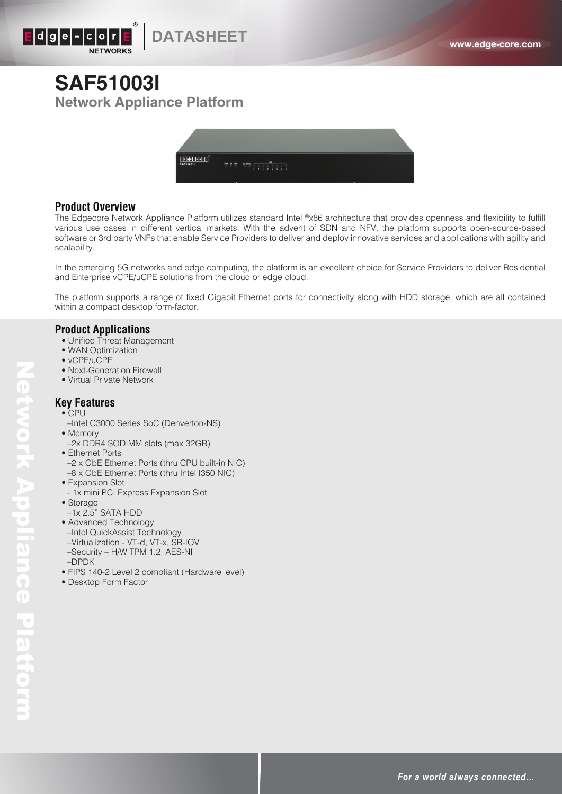

# **SAF51003I Network Appliance Platform**



### **Product Overview**

The Edgecore Network Appliance Platform utilizes standard Intel ®x86 architecture that provides openness and flexibility to fulfill various use cases in different vertical markets. With the advent of SDN and NFV, the platform supports open-source-based software or 3rd party VNFs that enable Service Providers to deliver and deploy innovative services and applications with agility and scalability.

In the emerging 5G networks and edge computing, the platform is an excellent choice for Service Providers to deliver Residential and Enterprise vCPE/uCPE solutions from the cloud or edge cloud.

The platform supports a range of fixed Gigabit Ethernet ports for connectivity along with HDD storage, which are all contained within a compact desktop form-factor.

#### **Product Applications**

- Unified Threat Management
- WAN Optimization
- vCPE/uCPE
- Next-Generation Firewall
- Virtual Private Network

### **Key Features**

- CPU
- –Intel C3000 Series SoC (Denverton-NS)
- Memory
- –2x DDR4 SODIMM slots (max 32GB)
- Ethernet Ports
- –2 x GbE Ethernet Ports (thru CPU built-in NIC) –8 x GbE Ethernet Ports (thru Intel I350 NIC)
- Expansion Slot
- 1x mini PCI Express Expansion Slot
- Storage

Network Appliance Platform

Network Appliance Platiorm

- –1x 2.5" SATA HDD
- Advanced Technology
- –Intel QuickAssist Technology
- –Virtualization VT-d, VT-x, SR-IOV
- –Security H/W TPM 1.2, AES-NI
- –DPDK
- FIPS 140-2 Level 2 compliant (Hardware level)
- Desktop Form Factor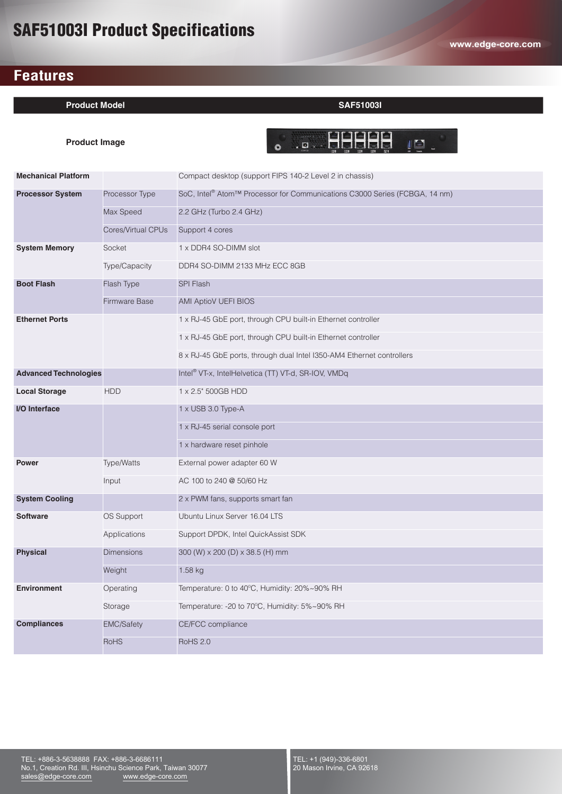# SAF51003I Product Specifications

# **Features**

### **Product Model SAF51003I**

**Product Image**

**. . . 99999 . . .** 

| <b>Mechanical Platform</b>   |                      | Compact desktop (support FIPS 140-2 Level 2 in chassis)                                            |
|------------------------------|----------------------|----------------------------------------------------------------------------------------------------|
| <b>Processor System</b>      | Processor Type       | SoC, Intel <sup>®</sup> Atom <sup>™</sup> Processor for Communications C3000 Series (FCBGA, 14 nm) |
|                              | Max Speed            | 2.2 GHz (Turbo 2.4 GHz)                                                                            |
|                              | Cores/Virtual CPUs   | Support 4 cores                                                                                    |
| <b>System Memory</b>         | Socket               | 1 x DDR4 SO-DIMM slot                                                                              |
|                              | Type/Capacity        | DDR4 SO-DIMM 2133 MHz ECC 8GB                                                                      |
| <b>Boot Flash</b>            | Flash Type           | <b>SPI Flash</b>                                                                                   |
|                              | <b>Firmware Base</b> | AMI AptioV UEFI BIOS                                                                               |
| <b>Ethernet Ports</b>        |                      | 1 x RJ-45 GbE port, through CPU built-in Ethernet controller                                       |
|                              |                      | 1 x RJ-45 GbE port, through CPU built-in Ethernet controller                                       |
|                              |                      | 8 x RJ-45 GbE ports, through dual Intel I350-AM4 Ethernet controllers                              |
| <b>Advanced Technologies</b> |                      | Intel <sup>®</sup> VT-x, IntelHelvetica (TT) VT-d, SR-IOV, VMDq                                    |
| <b>Local Storage</b>         | <b>HDD</b>           | 1 x 2.5" 500GB HDD                                                                                 |
| <b>I/O</b> Interface         |                      | $1 \times$ USB 3.0 Type-A                                                                          |
|                              |                      | 1 x RJ-45 serial console port                                                                      |
|                              |                      | 1 x hardware reset pinhole                                                                         |
| <b>Power</b>                 | Type/Watts           | External power adapter 60 W                                                                        |
|                              | Input                | AC 100 to 240 @ 50/60 Hz                                                                           |
| <b>System Cooling</b>        |                      | 2 x PWM fans, supports smart fan                                                                   |
| <b>Software</b>              | <b>OS Support</b>    | Ubuntu Linux Server 16.04 LTS                                                                      |
|                              | Applications         | Support DPDK, Intel QuickAssist SDK                                                                |
| <b>Physical</b>              | Dimensions           | 300 (W) x 200 (D) x 38.5 (H) mm                                                                    |
|                              | Weight               | $1.58$ kg                                                                                          |
| <b>Environment</b>           | Operating            | Temperature: 0 to 40°C, Humidity: 20%~90% RH                                                       |
|                              | Storage              | Temperature: -20 to 70°C, Humidity: 5%~90% RH                                                      |
| <b>Compliances</b>           | <b>EMC/Safety</b>    | CE/FCC compliance                                                                                  |
|                              | <b>RoHS</b>          | <b>RoHS 2.0</b>                                                                                    |